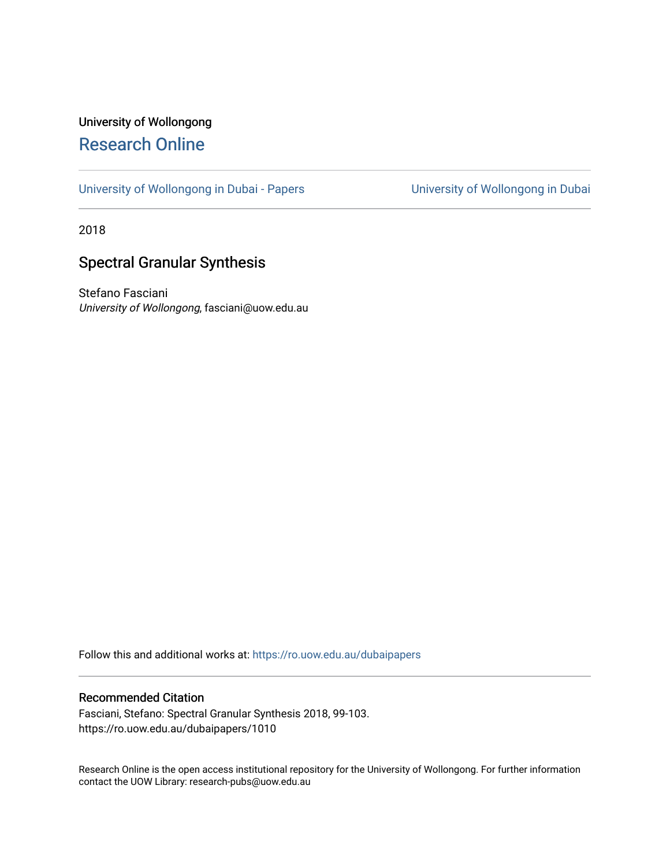# University of Wollongong [Research Online](https://ro.uow.edu.au/)

[University of Wollongong in Dubai - Papers](https://ro.uow.edu.au/dubaipapers) **University of Wollongong in Dubai** 

2018

# Spectral Granular Synthesis

Stefano Fasciani University of Wollongong, fasciani@uow.edu.au

Follow this and additional works at: [https://ro.uow.edu.au/dubaipapers](https://ro.uow.edu.au/dubaipapers?utm_source=ro.uow.edu.au%2Fdubaipapers%2F1010&utm_medium=PDF&utm_campaign=PDFCoverPages) 

## Recommended Citation

Fasciani, Stefano: Spectral Granular Synthesis 2018, 99-103. https://ro.uow.edu.au/dubaipapers/1010

Research Online is the open access institutional repository for the University of Wollongong. For further information contact the UOW Library: research-pubs@uow.edu.au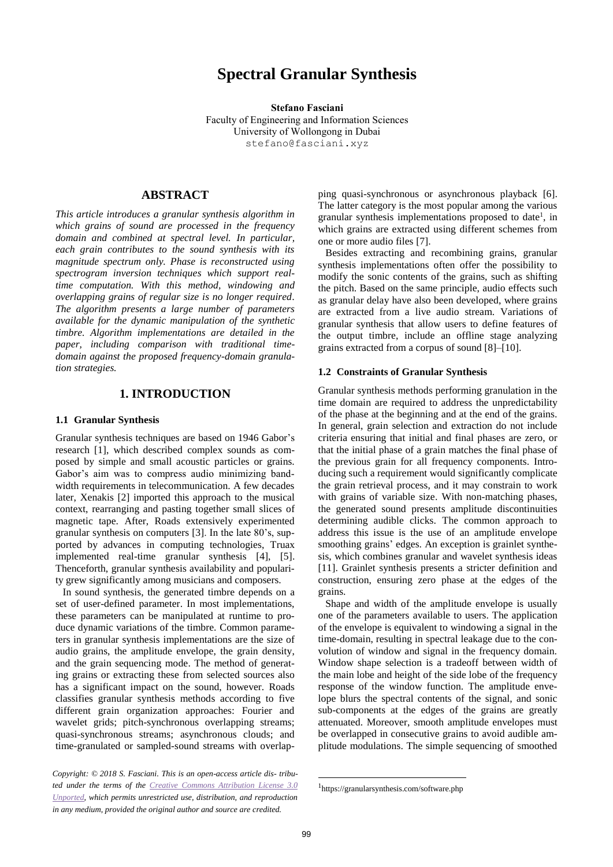# **Spectral Granular Synthesis**

**Stefano Fasciani** Faculty of Engineering and Information Sciences University of Wollongong in Dubai stefano@fasciani.xyz

## **ABSTRACT**

*This article introduces a granular synthesis algorithm in which grains of sound are processed in the frequency domain and combined at spectral level. In particular, each grain contributes to the sound synthesis with its magnitude spectrum only. Phase is reconstructed using spectrogram inversion techniques which support realtime computation. With this method, windowing and overlapping grains of regular size is no longer required. The algorithm presents a large number of parameters available for the dynamic manipulation of the synthetic timbre. Algorithm implementations are detailed in the paper, including comparison with traditional timedomain against the proposed frequency-domain granulation strategies.*

### **1. INTRODUCTION**

#### **1.1 Granular Synthesis**

Granular synthesis techniques are based on 1946 Gabor's research [1], which described complex sounds as composed by simple and small acoustic particles or grains. Gabor's aim was to compress audio minimizing bandwidth requirements in telecommunication. A few decades later, Xenakis [2] imported this approach to the musical context, rearranging and pasting together small slices of magnetic tape. After, Roads extensively experimented granular synthesis on computers [3]. In the late 80's, supported by advances in computing technologies, Truax implemented real-time granular synthesis [4], [5]. Thenceforth, granular synthesis availability and popularity grew significantly among musicians and composers.

In sound synthesis, the generated timbre depends on a set of user-defined parameter. In most implementations, these parameters can be manipulated at runtime to produce dynamic variations of the timbre. Common parameters in granular synthesis implementations are the size of audio grains, the amplitude envelope, the grain density, and the grain sequencing mode. The method of generating grains or extracting these from selected sources also has a significant impact on the sound, however. Roads classifies granular synthesis methods according to five different grain organization approaches: Fourier and wavelet grids; pitch-synchronous overlapping streams; quasi-synchronous streams; asynchronous clouds; and time-granulated or sampled-sound streams with overlap-

ping quasi-synchronous or asynchronous playback [6]. The latter category is the most popular among the various granular synthesis implementations proposed to date<sup>1</sup>, in which grains are extracted using different schemes from one or more audio files [7].

Besides extracting and recombining grains, granular synthesis implementations often offer the possibility to modify the sonic contents of the grains, such as shifting the pitch. Based on the same principle, audio effects such as granular delay have also been developed, where grains are extracted from a live audio stream. Variations of granular synthesis that allow users to define features of the output timbre, include an offline stage analyzing grains extracted from a corpus of sound [8]–[10].

#### **1.2 Constraints of Granular Synthesis**

Granular synthesis methods performing granulation in the time domain are required to address the unpredictability of the phase at the beginning and at the end of the grains. In general, grain selection and extraction do not include criteria ensuring that initial and final phases are zero, or that the initial phase of a grain matches the final phase of the previous grain for all frequency components. Introducing such a requirement would significantly complicate the grain retrieval process, and it may constrain to work with grains of variable size. With non-matching phases, the generated sound presents amplitude discontinuities determining audible clicks. The common approach to address this issue is the use of an amplitude envelope smoothing grains' edges. An exception is grainlet synthesis, which combines granular and wavelet synthesis ideas [11]. Grainlet synthesis presents a stricter definition and construction, ensuring zero phase at the edges of the grains.

Shape and width of the amplitude envelope is usually one of the parameters available to users. The application of the envelope is equivalent to windowing a signal in the time-domain, resulting in spectral leakage due to the convolution of window and signal in the frequency domain. Window shape selection is a tradeoff between width of the main lobe and height of the side lobe of the frequency response of the window function. The amplitude envelope blurs the spectral contents of the signal, and sonic sub-components at the edges of the grains are greatly attenuated. Moreover, smooth amplitude envelopes must be overlapped in consecutive grains to avoid audible amplitude modulations. The simple sequencing of smoothed

-

*Copyright: © 2018 S. Fasciani. This is an open-access article dis- tributed under the terms of the [Creative Commons Attribution License 3.0](http://creativecommons.org/licenses/by/3.0/)  [Unported,](http://creativecommons.org/licenses/by/3.0/) which permits unrestricted use, distribution, and reproduction in any medium, provided the original author and source are credited.*

<sup>1</sup> https://granularsynthesis.com/software.php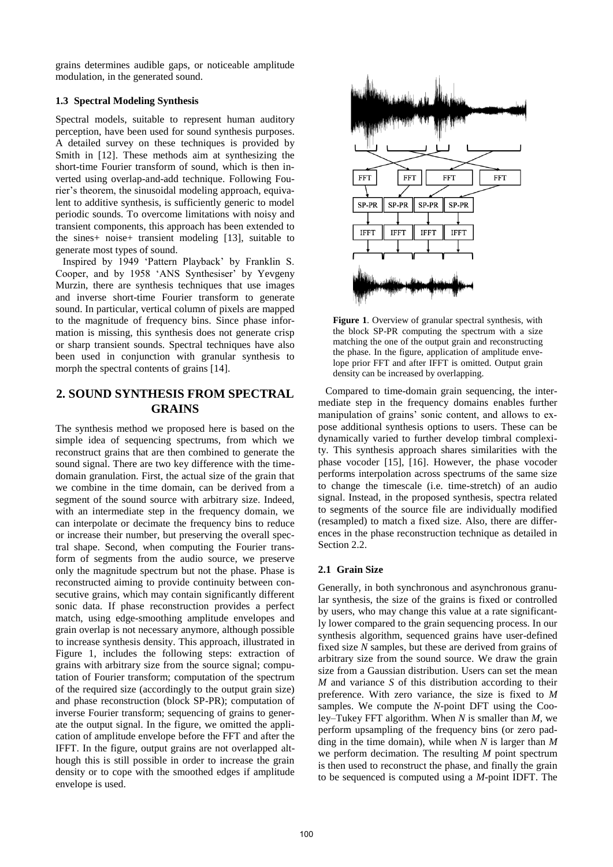grains determines audible gaps, or noticeable amplitude modulation, in the generated sound.

### **1.3 Spectral Modeling Synthesis**

Spectral models, suitable to represent human auditory perception, have been used for sound synthesis purposes. A detailed survey on these techniques is provided by Smith in [12]. These methods aim at synthesizing the short-time Fourier transform of sound, which is then inverted using overlap-and-add technique. Following Fourier's theorem, the sinusoidal modeling approach, equivalent to additive synthesis, is sufficiently generic to model periodic sounds. To overcome limitations with noisy and transient components, this approach has been extended to the sines+ noise+ transient modeling [13], suitable to generate most types of sound.

Inspired by 1949 'Pattern Playback' by Franklin S. Cooper, and by 1958 'ANS Synthesiser' by Yevgeny Murzin, there are synthesis techniques that use images and inverse short-time Fourier transform to generate sound. In particular, vertical column of pixels are mapped to the magnitude of frequency bins. Since phase information is missing, this synthesis does not generate crisp or sharp transient sounds. Spectral techniques have also been used in conjunction with granular synthesis to morph the spectral contents of grains [14].

## **2. SOUND SYNTHESIS FROM SPECTRAL GRAINS**

The synthesis method we proposed here is based on the simple idea of sequencing spectrums, from which we reconstruct grains that are then combined to generate the sound signal. There are two key difference with the timedomain granulation. First, the actual size of the grain that we combine in the time domain, can be derived from a segment of the sound source with arbitrary size. Indeed, with an intermediate step in the frequency domain, we can interpolate or decimate the frequency bins to reduce or increase their number, but preserving the overall spectral shape. Second, when computing the Fourier transform of segments from the audio source, we preserve only the magnitude spectrum but not the phase. Phase is reconstructed aiming to provide continuity between consecutive grains, which may contain significantly different sonic data. If phase reconstruction provides a perfect match, using edge-smoothing amplitude envelopes and grain overlap is not necessary anymore, although possible to increase synthesis density. This approach, illustrated in Figure 1, includes the following steps: extraction of grains with arbitrary size from the source signal; computation of Fourier transform; computation of the spectrum of the required size (accordingly to the output grain size) and phase reconstruction (block SP-PR); computation of inverse Fourier transform; sequencing of grains to generate the output signal. In the figure, we omitted the application of amplitude envelope before the FFT and after the IFFT. In the figure, output grains are not overlapped although this is still possible in order to increase the grain density or to cope with the smoothed edges if amplitude envelope is used.



**Figure 1**. Overview of granular spectral synthesis, with the block SP-PR computing the spectrum with a size matching the one of the output grain and reconstructing the phase. In the figure, application of amplitude envelope prior FFT and after IFFT is omitted. Output grain density can be increased by overlapping.

Compared to time-domain grain sequencing, the intermediate step in the frequency domains enables further manipulation of grains' sonic content, and allows to expose additional synthesis options to users. These can be dynamically varied to further develop timbral complexity. This synthesis approach shares similarities with the phase vocoder [15], [16]. However, the phase vocoder performs interpolation across spectrums of the same size to change the timescale (i.e. time-stretch) of an audio signal. Instead, in the proposed synthesis, spectra related to segments of the source file are individually modified (resampled) to match a fixed size. Also, there are differences in the phase reconstruction technique as detailed in Section 2.2.

## **2.1 Grain Size**

Generally, in both synchronous and asynchronous granular synthesis, the size of the grains is fixed or controlled by users, who may change this value at a rate significantly lower compared to the grain sequencing process. In our synthesis algorithm, sequenced grains have user-defined fixed size *N* samples, but these are derived from grains of arbitrary size from the sound source. We draw the grain size from a Gaussian distribution. Users can set the mean *M* and variance *S* of this distribution according to their preference. With zero variance, the size is fixed to *M* samples. We compute the *N*-point DFT using the Cooley–Tukey FFT algorithm. When *N* is smaller than *M*, we perform upsampling of the frequency bins (or zero padding in the time domain), while when *N* is larger than *M* we perform decimation. The resulting *M* point spectrum is then used to reconstruct the phase, and finally the grain to be sequenced is computed using a *M*-point IDFT. The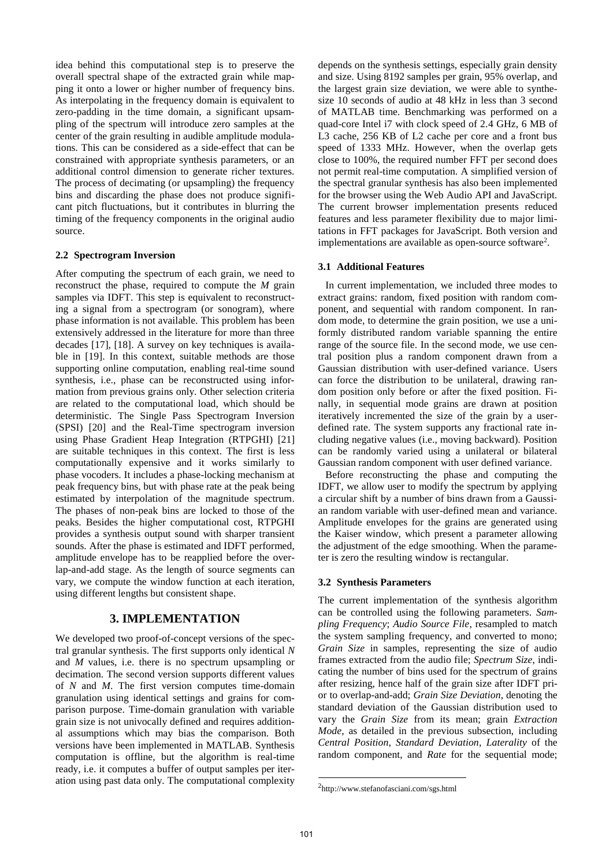idea behind this computational step is to preserve the overall spectral shape of the extracted grain while mapping it onto a lower or higher number of frequency bins. As interpolating in the frequency domain is equivalent to zero-padding in the time domain, a significant upsampling of the spectrum will introduce zero samples at the center of the grain resulting in audible amplitude modulations. This can be considered as a side-effect that can be constrained with appropriate synthesis parameters, or an additional control dimension to generate richer textures. The process of decimating (or upsampling) the frequency bins and discarding the phase does not produce significant pitch fluctuations, but it contributes in blurring the timing of the frequency components in the original audio source.

#### **2.2 Spectrogram Inversion**

After computing the spectrum of each grain, we need to reconstruct the phase, required to compute the *M* grain samples via IDFT. This step is equivalent to reconstructing a signal from a spectrogram (or sonogram), where phase information is not available. This problem has been extensively addressed in the literature for more than three decades [17], [18]. A survey on key techniques is available in [19]. In this context, suitable methods are those supporting online computation, enabling real-time sound synthesis, i.e., phase can be reconstructed using information from previous grains only. Other selection criteria are related to the computational load, which should be deterministic. The Single Pass Spectrogram Inversion (SPSI) [20] and the Real-Time spectrogram inversion using Phase Gradient Heap Integration (RTPGHI) [21] are suitable techniques in this context. The first is less computationally expensive and it works similarly to phase vocoders. It includes a phase-locking mechanism at peak frequency bins, but with phase rate at the peak being estimated by interpolation of the magnitude spectrum. The phases of non-peak bins are locked to those of the peaks. Besides the higher computational cost, RTPGHI provides a synthesis output sound with sharper transient sounds. After the phase is estimated and IDFT performed, amplitude envelope has to be reapplied before the overlap-and-add stage. As the length of source segments can vary, we compute the window function at each iteration, using different lengths but consistent shape.

### **3. IMPLEMENTATION**

We developed two proof-of-concept versions of the spectral granular synthesis. The first supports only identical *N* and *M* values, i.e. there is no spectrum upsampling or decimation. The second version supports different values of *N* and *M*. The first version computes time-domain granulation using identical settings and grains for comparison purpose. Time-domain granulation with variable grain size is not univocally defined and requires additional assumptions which may bias the comparison. Both versions have been implemented in MATLAB. Synthesis computation is offline, but the algorithm is real-time ready, i.e. it computes a buffer of output samples per iteration using past data only. The computational complexity depends on the synthesis settings, especially grain density and size. Using 8192 samples per grain, 95% overlap, and the largest grain size deviation, we were able to synthesize 10 seconds of audio at 48 kHz in less than 3 second of MATLAB time. Benchmarking was performed on a quad-core Intel i7 with clock speed of 2.4 GHz, 6 MB of L3 cache, 256 KB of L2 cache per core and a front bus speed of 1333 MHz. However, when the overlap gets close to 100%, the required number FFT per second does not permit real-time computation. A simplified version of the spectral granular synthesis has also been implemented for the browser using the Web Audio API and JavaScript. The current browser implementation presents reduced features and less parameter flexibility due to major limitations in FFT packages for JavaScript. Both version and implementations are available as open-source software<sup>2</sup>.

### **3.1 Additional Features**

In current implementation, we included three modes to extract grains: random, fixed position with random component, and sequential with random component. In random mode, to determine the grain position, we use a uniformly distributed random variable spanning the entire range of the source file. In the second mode, we use central position plus a random component drawn from a Gaussian distribution with user-defined variance. Users can force the distribution to be unilateral, drawing random position only before or after the fixed position. Finally, in sequential mode grains are drawn at position iteratively incremented the size of the grain by a userdefined rate. The system supports any fractional rate including negative values (i.e., moving backward). Position can be randomly varied using a unilateral or bilateral Gaussian random component with user defined variance.

Before reconstructing the phase and computing the IDFT, we allow user to modify the spectrum by applying a circular shift by a number of bins drawn from a Gaussian random variable with user-defined mean and variance. Amplitude envelopes for the grains are generated using the Kaiser window, which present a parameter allowing the adjustment of the edge smoothing. When the parameter is zero the resulting window is rectangular.

#### **3.2 Synthesis Parameters**

The current implementation of the synthesis algorithm can be controlled using the following parameters. *Sampling Frequency*; *Audio Source File*, resampled to match the system sampling frequency, and converted to mono; *Grain Size* in samples, representing the size of audio frames extracted from the audio file; *Spectrum Size*, indicating the number of bins used for the spectrum of grains after resizing, hence half of the grain size after IDFT prior to overlap-and-add; *Grain Size Deviation*, denoting the standard deviation of the Gaussian distribution used to vary the *Grain Size* from its mean; grain *Extraction Mode*, as detailed in the previous subsection, including *Central Position*, *Standard Deviation*, *Laterality* of the random component, and *Rate* for the sequential mode;

-

<sup>2</sup> http://www.stefanofasciani.com/sgs.html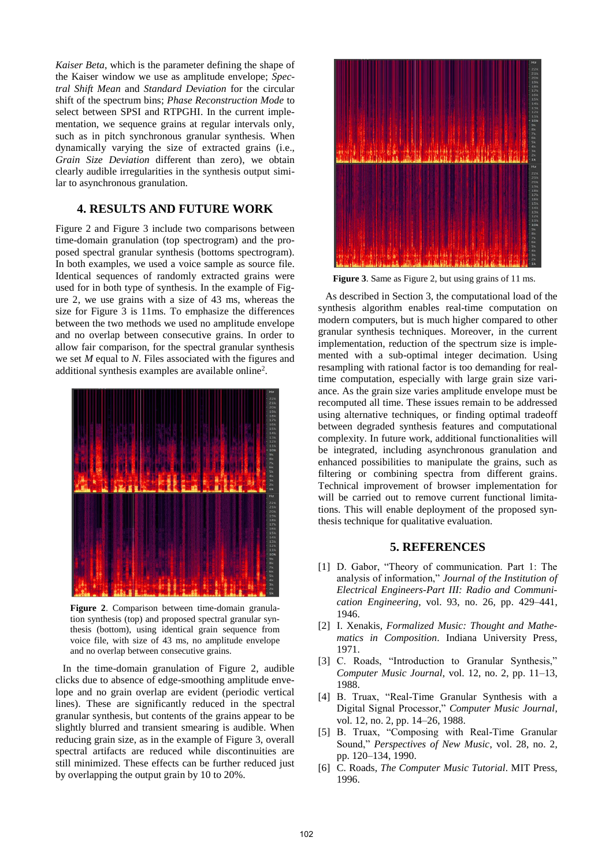*Kaiser Beta*, which is the parameter defining the shape of the Kaiser window we use as amplitude envelope; *Spectral Shift Mean* and *Standard Deviation* for the circular shift of the spectrum bins; *Phase Reconstruction Mode* to select between SPSI and RTPGHI. In the current implementation, we sequence grains at regular intervals only, such as in pitch synchronous granular synthesis. When dynamically varying the size of extracted grains (i.e., *Grain Size Deviation* different than zero), we obtain clearly audible irregularities in the synthesis output similar to asynchronous granulation.

## **4. RESULTS AND FUTURE WORK**

Figure 2 and Figure 3 include two comparisons between time-domain granulation (top spectrogram) and the proposed spectral granular synthesis (bottoms spectrogram). In both examples, we used a voice sample as source file. Identical sequences of randomly extracted grains were used for in both type of synthesis. In the example of Figure 2, we use grains with a size of 43 ms, whereas the size for Figure 3 is 11ms. To emphasize the differences between the two methods we used no amplitude envelope and no overlap between consecutive grains. In order to allow fair comparison, for the spectral granular synthesis we set *M* equal to *N*. Files associated with the figures and additional synthesis examples are available online<sup>2</sup>.



**Figure 2**. Comparison between time-domain granulation synthesis (top) and proposed spectral granular synthesis (bottom), using identical grain sequence from voice file, with size of 43 ms, no amplitude envelope and no overlap between consecutive grains.

In the time-domain granulation of Figure 2, audible clicks due to absence of edge-smoothing amplitude envelope and no grain overlap are evident (periodic vertical lines). These are significantly reduced in the spectral granular synthesis, but contents of the grains appear to be slightly blurred and transient smearing is audible. When reducing grain size, as in the example of Figure 3, overall spectral artifacts are reduced while discontinuities are still minimized. These effects can be further reduced just by overlapping the output grain by 10 to 20%.



**Figure 3**. Same as Figure 2, but using grains of 11 ms.

As described in Section 3, the computational load of the synthesis algorithm enables real-time computation on modern computers, but is much higher compared to other granular synthesis techniques. Moreover, in the current implementation, reduction of the spectrum size is implemented with a sub-optimal integer decimation. Using resampling with rational factor is too demanding for realtime computation, especially with large grain size variance. As the grain size varies amplitude envelope must be recomputed all time. These issues remain to be addressed using alternative techniques, or finding optimal tradeoff between degraded synthesis features and computational complexity. In future work, additional functionalities will be integrated, including asynchronous granulation and enhanced possibilities to manipulate the grains, such as filtering or combining spectra from different grains. Technical improvement of browser implementation for will be carried out to remove current functional limitations. This will enable deployment of the proposed synthesis technique for qualitative evaluation.

### **5. REFERENCES**

- [1] D. Gabor, "Theory of communication. Part 1: The analysis of information," *Journal of the Institution of Electrical Engineers-Part III: Radio and Communication Engineering*, vol. 93, no. 26, pp. 429–441, 1946.
- [2] I. Xenakis, *Formalized Music: Thought and Mathematics in Composition*. Indiana University Press, 1971.
- [3] C. Roads, "Introduction to Granular Synthesis," *Computer Music Journal*, vol. 12, no. 2, pp. 11–13, 1988.
- [4] B. Truax, "Real-Time Granular Synthesis with a Digital Signal Processor," *Computer Music Journal*, vol. 12, no. 2, pp. 14–26, 1988.
- [5] B. Truax, "Composing with Real-Time Granular Sound," *Perspectives of New Music*, vol. 28, no. 2, pp. 120–134, 1990.
- [6] C. Roads, *The Computer Music Tutorial*. MIT Press, 1996.